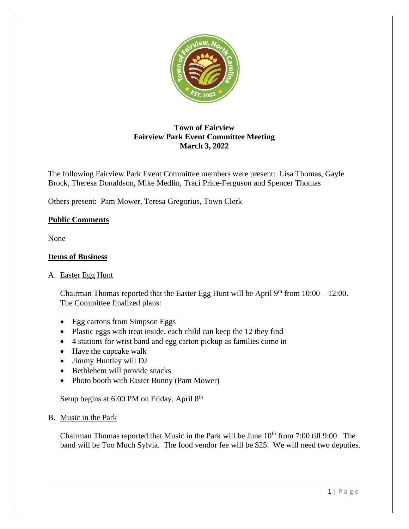

# **Town of Fairview Fairview Park Event Committee Meeting March 3, 2022**

The following Fairview Park Event Committee members were present: Lisa Thomas, Gayle Brock, Theresa Donaldson, Mike Medlin, Traci Price-Ferguson and Spencer Thomas

Others present: Pam Mower, Teresa Gregorius, Town Clerk

## **Public Comments**

None

## **Items of Business**

## A. Easter Egg Hunt

Chairman Thomas reported that the Easter Egg Hunt will be April  $9<sup>th</sup>$  from  $10:00 - 12:00$ . The Committee finalized plans:

- Egg cartons from Simpson Eggs
- Plastic eggs with treat inside, each child can keep the 12 they find
- 4 stations for wrist band and egg carton pickup as families come in
- Have the cupcake walk
- Jimmy Huntley will DJ
- Bethlehem will provide snacks
- Photo booth with Easter Bunny (Pam Mower)

Setup begins at 6:00 PM on Friday, April 8<sup>th</sup>

#### B. Music in the Park

Chairman Thomas reported that Music in the Park will be June  $10<sup>th</sup>$  from 7:00 till 9:00. The band will be Too Much Sylvia. The food vendor fee will be \$25. We will need two deputies.